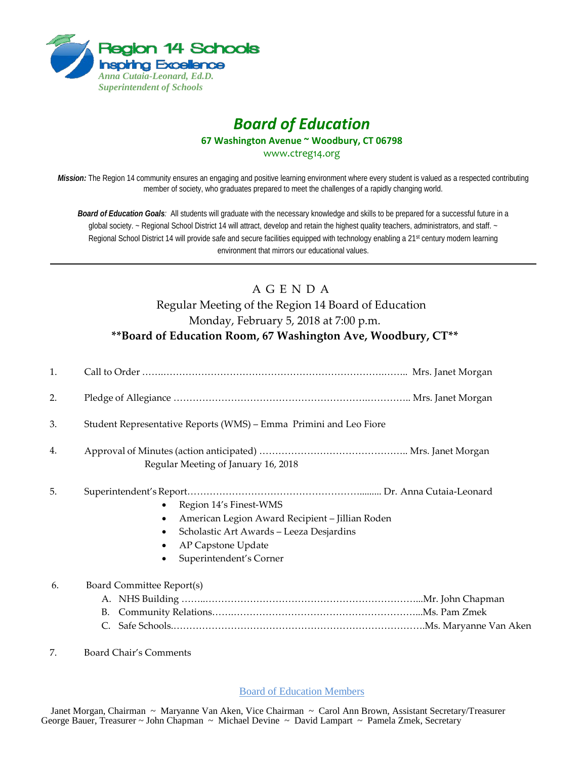

## *Board of Education* **67 Washington Avenue ~ Woodbury, CT 06798**

www.ctreg14.org

*Mission:* The Region 14 community ensures an engaging and positive learning environment where every student is valued as a respected contributing member of society, who graduates prepared to meet the challenges of a rapidly changing world.

*Board of Education Goals:* All students will graduate with the necessary knowledge and skills to be prepared for a successful future in a global society. ~ Regional School District 14 will attract, develop and retain the highest quality teachers, administrators, and staff. ~ Regional School District 14 will provide safe and secure facilities equipped with technology enabling a 21<sup>st</sup> century modern learning environment that mirrors our educational values.

## A G E N D A Regular Meeting of the Region 14 Board of Education Monday, February 5, 2018 at 7:00 p.m. **\*\*Board of Education Room, 67 Washington Ave, Woodbury, CT\*\***

| 1. |                                                                                                                                                                        |
|----|------------------------------------------------------------------------------------------------------------------------------------------------------------------------|
| 2. |                                                                                                                                                                        |
| 3. | Student Representative Reports (WMS) – Emma Primini and Leo Fiore                                                                                                      |
| 4. | Regular Meeting of January 16, 2018                                                                                                                                    |
| 5. | Region 14's Finest-WMS<br>American Legion Award Recipient - Jillian Roden<br>Scholastic Art Awards - Leeza Desjardins<br>AP Capstone Update<br>Superintendent's Corner |
| 6. | Board Committee Report(s)                                                                                                                                              |
| 7. | Board Chair's Comments                                                                                                                                                 |

Board of Education Members